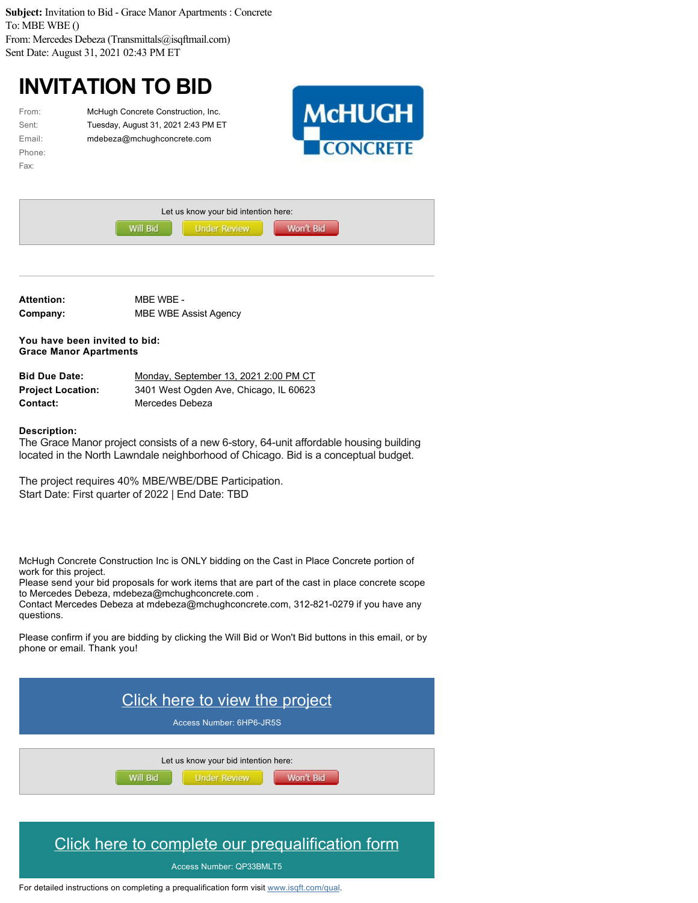**Subject:** Invitation to Bid - Grace Manor Apartments : Concrete To: MBE WBE () From: Mercedes Debeza (Transmittals@isqftmail.com) Sent Date: August 31, 2021 02:43 PM ET

## **INVITATION TO BID**

| From:  |
|--------|
| Sent:  |
| Email: |
| Phone: |
| Fax:   |

McHugh Concrete Construction, Inc. Tuesday, August 31, 2021 2:43 PM ET mdebeza@mchughconcrete.com



| Let us know your bid intention here: |                     |           |  |
|--------------------------------------|---------------------|-----------|--|
| Will Bid                             | <b>Under Review</b> | Won't Bid |  |

**Attention:** MBE WBE - **Company:** MBE WBE Assist Agency

**You have been invited to bid: Grace Manor Apartments**

| <b>Bid Due Date:</b>     | Monday, September 13, 2021 2:00 PM CT  |
|--------------------------|----------------------------------------|
| <b>Project Location:</b> | 3401 West Ogden Ave, Chicago, IL 60623 |
| <b>Contact:</b>          | Mercedes Debeza                        |

## **Description:**

The Grace Manor project consists of a new 6-story, 64-unit affordable housing building located in the North Lawndale neighborhood of Chicago. Bid is a conceptual budget.

The project requires 40% MBE/WBE/DBE Participation. Start Date: First quarter of 2022 | End Date: TBD

McHugh Concrete Construction Inc is ONLY bidding on the Cast in Place Concrete portion of work for this project.

Please send your bid proposals for work items that are part of the cast in place concrete scope to Mercedes Debeza, mdebeza@mchughconcrete.com .

Contact Mercedes Debeza at mdebeza@mchughconcrete.com, 312-821-0279 if you have any questions.

Please confirm if you are bidding by clicking the Will Bid or Won't Bid buttons in this email, or by phone or email. Thank you!



## [Click here to complete our prequalification form](https://app.isqft.com/services/go/pqan/QP33BMLT5)

Access Number: QP33BMLT5

For detailed instructions on completing a prequalification form visit [www.isqft.com/qual](http://www.isqft.com/qual).